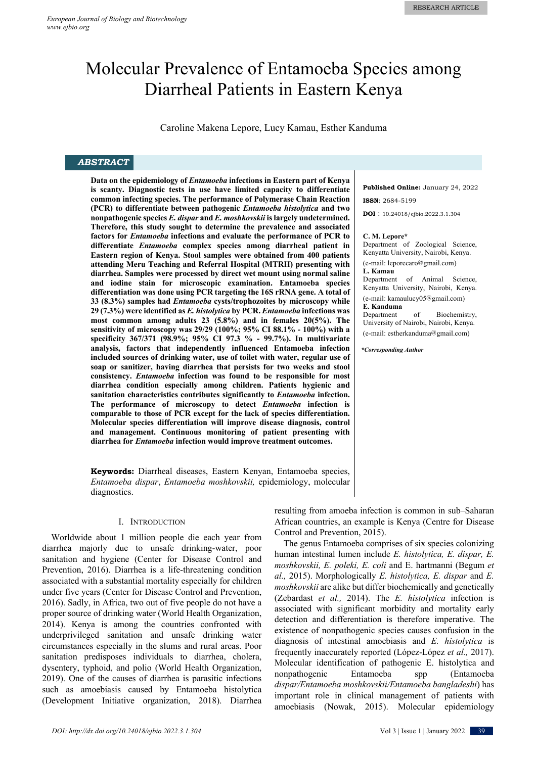# Molecular Prevalence of Entamoeba Species among Diarrheal Patients in Eastern Kenya

Caroline Makena Lepore, Lucy Kamau, Esther Kanduma

# *ABSTRACT*

**Data on the epidemiology of** *Entamoeba* **infections in Eastern part of Kenya is scanty. Diagnostic tests in use have limited capacity to differentiate common infecting species. The performance of Polymerase Chain Reaction (PCR) to differentiate between pathogenic** *Entamoeba histolytica* **and two nonpathogenic species** *E. dispar* **and** *E. moshkovskii* **is largely undetermined. Therefore, this study sought to determine the prevalence and associated factors for** *Entamoeba* **infections and evaluate the performance of PCR to differentiate** *Entamoeba* **complex species among diarrheal patient in Eastern region of Kenya. Stool samples were obtained from 400 patients attending Meru Teaching and Referral Hospital (MTRH) presenting with diarrhea. Samples were processed by direct wet mount using normal saline and iodine stain for microscopic examination. Entamoeba species differentiation was done using PCR targeting the 16S rRNA gene. A total of 33 (8.3%) samples had** *Entamoeba* **cysts/trophozoites by microscopy while 29 (7.3%) were identified as** *E. histolytica* **by PCR.** *Entamoeba* **infections was most common among adults 23 (5.8%) and in females 20(5%). The sensitivity of microscopy was 29/29 (100%; 95% CI 88.1% - 100%) with a specificity 367/371 (98.9%; 95% CI 97.3 % - 99.7%). In multivariate analysis, factors that independently influenced Entamoeba infection included sources of drinking water, use of toilet with water, regular use of soap or sanitizer, having diarrhea that persists for two weeks and stool consistency.** *Entamoeba* **infection was found to be responsible for most diarrhea condition especially among children. Patients hygienic and sanitation characteristics contributes significantly to** *Entamoeba* **infection. The performance of microscopy to detect** *Entamoeba* **infection is comparable to those of PCR except for the lack of species differentiation. Molecular species differentiation will improve disease diagnosis, control and management. Continuous monitoring of patient presenting with diarrhea for** *Entamoeba* **infection would improve treatment outcomes.**

**Keywords:** Diarrheal diseases, Eastern Kenyan, Entamoeba species, *Entamoeba dispar*, *Entamoeba moshkovskii,* epidemiology, molecular diagnostics.

#### I. INTRODUCTION

Worldwide about 1 million people die each year from diarrhea majorly due to unsafe drinking-water, poor sanitation and hygiene (Center for Disease Control and Prevention, 2016). Diarrhea is a life-threatening condition associated with a substantial mortality especially for children under five years (Center for Disease Control and Prevention, 2016). Sadly, in Africa, two out of five people do not have a proper source of drinking water (World Health Organization, 2014). Kenya is among the countries confronted with underprivileged sanitation and unsafe drinking water circumstances especially in the slums and rural areas. Poor sanitation predisposes individuals to diarrhea, cholera, dysentery, typhoid, and polio (World Health Organization, 2019). One of the causes of diarrhea is parasitic infections such as amoebiasis caused by Entamoeba histolytica (Development Initiative organization, 2018). Diarrhea **Published Online:** January 24, 2022 **ISSN**: 2684-5199

**DOI** : 10.24018/ejbio.2022.3.1.304

#### **C. M. Lepore\***

Department of Zoological Science, Kenyatta University, Nairobi, Kenya. (e-mail: leporecaro@gmail.com) **L. Kamau**  Department of Animal Science, Kenyatta University, Nairobi, Kenya. (e-mail: kamaulucy05@gmail.com) **E. Kanduma**  of Biochemistry, University of Nairobi, Nairobi, Kenya. (e-mail: estherkanduma@gmail.com)

*\*Corresponding Author*

resulting from amoeba infection is common in sub–Saharan African countries, an example is Kenya (Centre for Disease Control and Prevention, 2015).

The genus Entamoeba comprises of six species colonizing human intestinal lumen include *E. histolytica, E. dispar, E. moshkovskii, E. poleki, E. coli* and E. hartmanni (Begum *et al.,* 2015). Morphologically *E. histolytica, E. dispar* and *E. moshkovskii* are alike but differ biochemically and genetically (Zebardast *et al.,* 2014). The *E. histolytica* infection is associated with significant morbidity and mortality early detection and differentiation is therefore imperative. The existence of nonpathogenic species causes confusion in the diagnosis of intestinal amoebiasis and *E. histolytica* is frequently inaccurately reported (López-López *et al.,* 2017). Molecular identification of pathogenic E. histolytica and nonpathogenic Entamoeba spp (Entamoeba *dispar/Entamoeba moshkovskii/Entamoeba bangladeshi*) has important role in clinical management of patients with amoebiasis (Nowak, 2015). Molecular epidemiology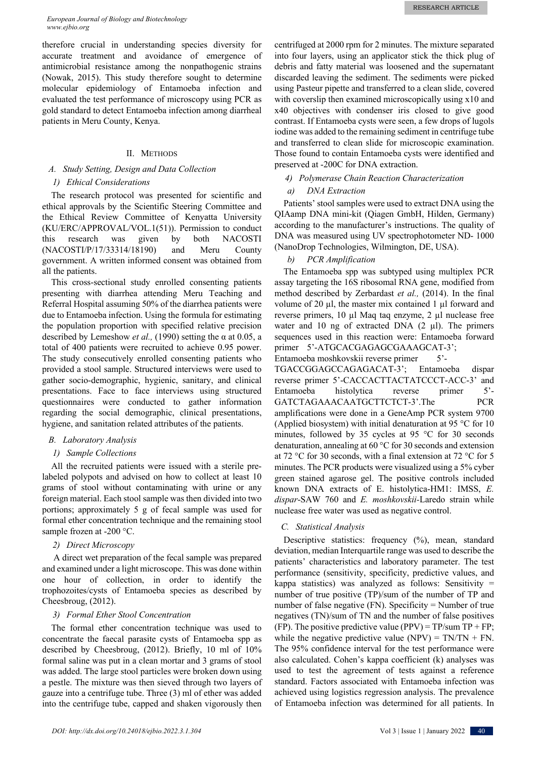therefore crucial in understanding species diversity for accurate treatment and avoidance of emergence of antimicrobial resistance among the nonpathogenic strains (Nowak, 2015). This study therefore sought to determine molecular epidemiology of Entamoeba infection and evaluated the test performance of microscopy using PCR as gold standard to detect Entamoeba infection among diarrheal patients in Meru County, Kenya.

# II. METHODS

# *A. Study Setting, Design and Data Collection*

# *1) Ethical Considerations*

The research protocol was presented for scientific and ethical approvals by the Scientific Steering Committee and the Ethical Review Committee of Kenyatta University (KU/ERC/APPROVAL/VOL.1(51)). Permission to conduct this research was given by both NACOSTI (NACOSTI/P/17/33314/18190) and Meru County government. A written informed consent was obtained from all the patients.

This cross-sectional study enrolled consenting patients presenting with diarrhea attending Meru Teaching and Referral Hospital assuming 50% of the diarrhea patients were due to Entamoeba infection. Using the formula for estimating the population proportion with specified relative precision described by Lemeshow *et al.,* (1990) setting the α at 0.05, a total of 400 patients were recruited to achieve 0.95 power. The study consecutively enrolled consenting patients who provided a stool sample. Structured interviews were used to gather socio-demographic, hygienic, sanitary, and clinical presentations. Face to face interviews using structured questionnaires were conducted to gather information regarding the social demographic, clinical presentations, hygiene, and sanitation related attributes of the patients.

## *B. Laboratory Analysis*

# *1) Sample Collections*

All the recruited patients were issued with a sterile prelabeled polypots and advised on how to collect at least 10 grams of stool without contaminating with urine or any foreign material. Each stool sample was then divided into two portions; approximately 5 g of fecal sample was used for formal ether concentration technique and the remaining stool sample frozen at -200 °C.

#### *2) Direct Microscopy*

A direct wet preparation of the fecal sample was prepared and examined under a light microscope. This was done within one hour of collection, in order to identify the trophozoites/cysts of Entamoeba species as described by Cheesbroug, (2012).

# *3) Formal Ether Stool Concentration*

The formal ether concentration technique was used to concentrate the faecal parasite cysts of Entamoeba spp as described by Cheesbroug, (2012). Briefly, 10 ml of 10% formal saline was put in a clean mortar and 3 grams of stool was added. The large stool particles were broken down using a pestle. The mixture was then sieved through two layers of gauze into a centrifuge tube. Three (3) ml of ether was added into the centrifuge tube, capped and shaken vigorously then

centrifuged at 2000 rpm for 2 minutes. The mixture separated into four layers, using an applicator stick the thick plug of debris and fatty material was loosened and the supernatant discarded leaving the sediment. The sediments were picked using Pasteur pipette and transferred to a clean slide, covered with coverslip then examined microscopically using x10 and x40 objectives with condenser iris closed to give good contrast. If Entamoeba cysts were seen, a few drops of lugols iodine was added to the remaining sediment in centrifuge tube and transferred to clean slide for microscopic examination. Those found to contain Entamoeba cysts were identified and preserved at -200C for DNA extraction.

# *4) Polymerase Chain Reaction Characterization*

# *a) DNA Extraction*

Patients' stool samples were used to extract DNA using the QIAamp DNA mini-kit (Qiagen GmbH, Hilden, Germany) according to the manufacturer's instructions. The quality of DNA was measured using UV spectrophotometer ND- 1000 (NanoDrop Technologies, Wilmington, DE, USA).

# *b) PCR Amplification*

The Entamoeba spp was subtyped using multiplex PCR assay targeting the 16S ribosomal RNA gene, modified from method described by Zerbardast *et al.,* (2014). In the final volume of 20 µl, the master mix contained 1 µl forward and reverse primers, 10 µl Maq taq enzyme, 2 µl nuclease free water and 10 ng of extracted DNA  $(2 \mu l)$ . The primers sequences used in this reaction were: Entamoeba forward primer 5'-ATGCACGAGAGCGAAAGCAT-3'; Entamoeba moshkovskii reverse primer 5'-

TGACCGGAGCCAGAGACAT-3'; Entamoeba dispar reverse primer 5'-CACCACTTACTATCCCT-ACC-3' and Entamoeba histolytica reverse primer 5'- GATCTAGAAACAATGCTTCTCT-3'.The PCR amplifications were done in a GeneAmp PCR system 9700 (Applied biosystem) with initial denaturation at 95 °C for 10 minutes, followed by 35 cycles at 95 °C for 30 seconds denaturation, annealing at 60 °C for 30 seconds and extension at 72 °C for 30 seconds, with a final extension at 72 °C for 5 minutes. The PCR products were visualized using a 5% cyber green stained agarose gel. The positive controls included known DNA extracts of E. histolytica-HM1: IMSS, *E. dispar*-SAW 760 and *E. moshkovskii-*Laredo strain while nuclease free water was used as negative control.

## *C. Statistical Analysis*

Descriptive statistics: frequency (%), mean, standard deviation, median Interquartile range was used to describe the patients' characteristics and laboratory parameter. The test performance (sensitivity, specificity, predictive values, and kappa statistics) was analyzed as follows: Sensitivity = number of true positive (TP)/sum of the number of TP and number of false negative (FN). Specificity = Number of true negatives (TN)/sum of TN and the number of false positives (FP). The positive predictive value (PPV) =  $TP/sum TP + FP$ ; while the negative predictive value (NPV) =  $TN/TN + FN$ . The 95% confidence interval for the test performance were also calculated. Cohen's kappa coefficient (k) analyses was used to test the agreement of tests against a reference standard. Factors associated with Entamoeba infection was achieved using logistics regression analysis. The prevalence of Entamoeba infection was determined for all patients. In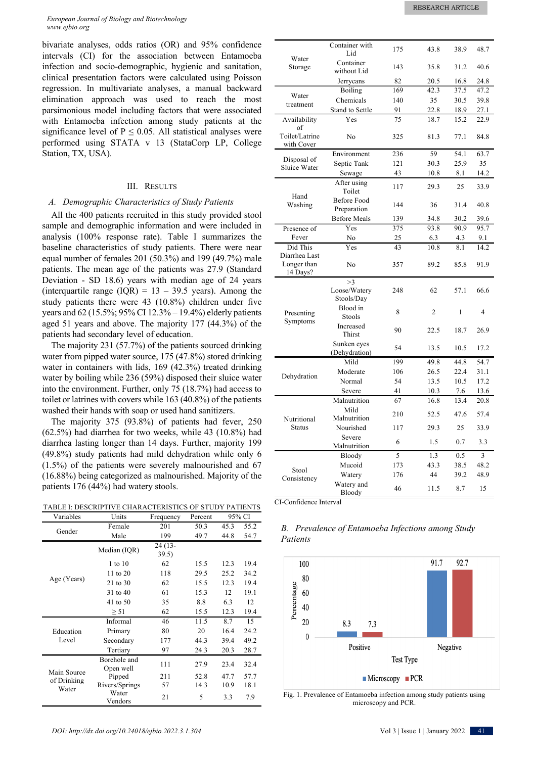bivariate analyses, odds ratios (OR) and 95% confidence intervals (CI) for the association between Entamoeba infection and socio-demographic, hygienic and sanitation, clinical presentation factors were calculated using Poisson regression. In multivariate analyses, a manual backward elimination approach was used to reach the most parsimonious model including factors that were associated with Entamoeba infection among study patients at the significance level of  $P \le 0.05$ . All statistical analyses were performed using STATA v 13 (StataCorp LP, College Station, TX, USA).

### III. RESULTS

## *A. Demographic Characteristics of Study Patients*

All the 400 patients recruited in this study provided stool sample and demographic information and were included in analysis (100% response rate). Table I summarizes the baseline characteristics of study patients. There were near equal number of females 201 (50.3%) and 199 (49.7%) male patients. The mean age of the patients was 27.9 (Standard Deviation - SD 18.6) years with median age of 24 years (interquartile range  $(IQR) = 13 - 39.5$  years). Among the study patients there were 43 (10.8%) children under five years and 62 (15.5%; 95% CI 12.3% – 19.4%) elderly patients aged 51 years and above. The majority 177 (44.3%) of the patients had secondary level of education.

The majority 231 (57.7%) of the patients sourced drinking water from pipped water source, 175 (47.8%) stored drinking water in containers with lids, 169 (42.3%) treated drinking water by boiling while 236 (59%) disposed their sluice water into the environment. Further, only 75 (18.7%) had access to toilet or latrines with covers while 163 (40.8%) of the patients washed their hands with soap or used hand sanitizers.

The majority 375 (93.8%) of patients had fever, 250 (62.5%) had diarrhea for two weeks, while 43 (10.8%) had diarrhea lasting longer than 14 days. Further, majority 199 (49.8%) study patients had mild dehydration while only 6 (1.5%) of the patients were severely malnourished and 67 (16.88%) being categorized as malnourished. Majority of the patients 176 (44%) had watery stools.

TABLE I: DESCRIPTIVE CHARACTERISTICS OF STUDY PATIENTS

| Variables                           | Units                     | Frequency         | Percent |      | 95% CI |
|-------------------------------------|---------------------------|-------------------|---------|------|--------|
| Gender                              | Female                    | 201               | 50.3    | 45.3 | 55.2   |
|                                     | Male                      | 199               | 49.7    | 44.8 | 54.7   |
|                                     | Median (IQR)              | $24(13-$<br>39.5) |         |      |        |
|                                     | 1 to 10                   | 62                | 15.5    | 12.3 | 19.4   |
|                                     | 11 to $20$                | 118               | 29.5    | 25.2 | 34.2   |
| Age (Years)                         | 21 to 30                  | 62                | 15.5    | 12.3 | 19.4   |
|                                     | $31 \text{ to } 40$       | 61                | 15.3    | 12   | 19.1   |
|                                     | 41 to 50                  | 35                | 8.8     | 6.3  | 12     |
|                                     | $\geq 51$                 | 62                | 15.5    | 12.3 | 19.4   |
|                                     | Informal                  | 46                | 11.5    | 8.7  | 15     |
| Education                           | Primary                   | 80                | 20      | 16.4 | 24.2   |
| Level                               | Secondary                 | 177               | 44.3    | 39.4 | 49.2   |
|                                     | Tertiary                  | 97                | 24.3    | 20.3 | 28.7   |
| Main Source<br>of Drinking<br>Water | Borehole and<br>Open well | 111               | 27.9    | 23.4 | 32.4   |
|                                     | Pipped                    | 211               | 52.8    | 47.7 | 57.7   |
|                                     | Rivers/Springs            | 57                | 14.3    | 10.9 | 18.1   |
|                                     | Water<br>Vendors          | 21                | 5       | 3.3  | 7.9    |

|                                          | Container with<br>Lid             | 175 | 43.8           | 38.9 | 48.7           |
|------------------------------------------|-----------------------------------|-----|----------------|------|----------------|
| Water<br>Storage                         | Container<br>without Lid          | 143 | 35.8           | 31.2 | 40.6           |
|                                          | Jerrycans                         | 82  | 20.5           | 16.8 | 24.8           |
|                                          | Boiling                           | 169 | 42.3           | 37.5 | 47.2           |
| Water                                    | Chemicals                         | 140 | 35             | 30.5 | 39.8           |
| treatment                                | Stand to Settle                   | 91  | 22.8           | 18.9 | 27.1           |
| Availability<br>of                       | Yes                               | 75  | 18.7           | 15.2 | 22.9           |
| Toilet/Latrine<br>with Cover             | $\rm No$                          | 325 | 81.3           | 77.1 | 84.8           |
| Disposal of                              | Environment                       | 236 | 59             | 54.1 | 63.7           |
| Sluice Water                             | Septic Tank                       | 121 | 30.3           | 25.9 | 35             |
|                                          | Sewage                            | 43  | 10.8           | 8.1  | 14.2           |
|                                          | After using<br>Toilet             | 117 | 29.3           | 25   | 33.9           |
| Hand<br>Washing                          | <b>Before Food</b><br>Preparation | 144 | 36             | 31.4 | 40.8           |
|                                          | <b>Before Meals</b>               | 139 | 34.8           | 30.2 | 39.6           |
| Presence of                              | Yes                               | 375 | 93.8           | 90.9 | 95.7           |
| Fever                                    | No                                | 25  | 6.3            | 4.3  | 9.1            |
| Did This                                 | Yes                               | 43  | 10.8           | 8.1  | 14.2           |
| Diarrhea Last<br>Longer than<br>14 Days? | No                                | 357 | 89.2           | 85.8 | 91.9           |
|                                          | >3                                |     |                |      |                |
|                                          | Loose/Watery<br>Stools/Day        | 248 | 62             | 57.1 | 66.6           |
| Presenting<br>Symptoms                   | Blood in<br>Stools                | 8   | $\overline{c}$ | 1    | $\overline{4}$ |
|                                          | Increased<br>Thirst               | 90  | 22.5           | 18.7 | 26.9           |
|                                          | Sunken eyes<br>(Dehydration)      | 54  | 13.5           | 10.5 | 17.2           |
|                                          | Mild                              | 199 | 49.8           | 44.8 | 54.7           |
| Dehydration                              | Moderate                          | 106 | 26.5           | 22.4 | 31.1           |
|                                          | Normal                            | 54  | 13.5           | 10.5 | 17.2           |
|                                          | Severe                            | 41  | 10.3           | 7.6  | 13.6           |
| Nutritional<br><b>Status</b>             | Malnutrition                      | 67  | 16.8           | 13.4 | 20.8           |
|                                          | Mild<br>Malnutrition              | 210 | 52.5           | 47.6 | 57.4           |
|                                          | Nourished                         | 117 | 29.3           | 25   | 33.9           |
|                                          | Severe<br>Malnutrition            | 6   | 1.5            | 0.7  | 3.3            |
|                                          | Bloody                            | 5   | 1.3            | 0.5  | 3              |
| Stool                                    | Mucoid                            | 173 | 43.3           | 38.5 | 48.2           |
| Consistency                              | Watery                            | 176 | 44             | 39.2 | 48.9           |
|                                          | Watery and<br>Bloody              | 46  | 11.5           | 8.7  | 15             |

CI-Confidence Interval

*Patients*



*B. Prevalence of Entamoeba Infections among Study* 

Fig. 1. Prevalence of Entamoeba infection among study patients using microscopy and PCR.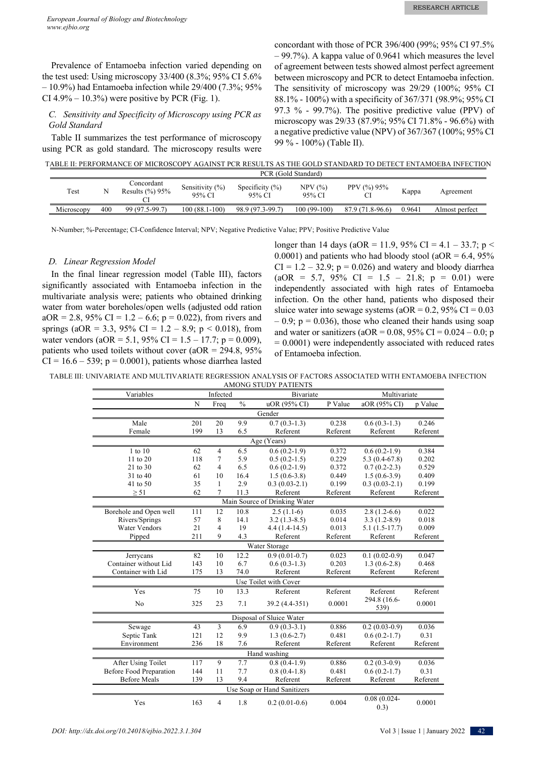Prevalence of Entamoeba infection varied depending on the test used: Using microscopy 33/400 (8.3%; 95% CI 5.6% – 10.9%) had Entamoeba infection while 29/400 (7.3%; 95% CI  $4.9\% - 10.3\%$ ) were positive by PCR (Fig. 1).

# *C. Sensitivity and Specificity of Microscopy using PCR as Gold Standard*

Table II summarizes the test performance of microscopy using PCR as gold standard. The microscopy results were

concordant with those of PCR 396/400 (99%; 95% CI 97.5% – 99.7%). A kappa value of 0.9641 which measures the level of agreement between tests showed almost perfect agreement between microscopy and PCR to detect Entamoeba infection. The sensitivity of microscopy was 29/29 (100%; 95% CI 88.1% - 100%) with a specificity of 367/371 (98.9%; 95% CI 97.3 % - 99.7%). The positive predictive value (PPV) of microscopy was 29/33 (87.9%; 95% CI 71.8% - 96.6%) with a negative predictive value (NPV) of 367/367 (100%; 95% CI 99 % - 100%) (Table II).

TABLE II: PERFORMANCE OF MICROSCOPY AGAINST PCR RESULTS AS THE GOLD STANDARD TO DETECT ENTAMOEBA INFECTION

|            | PCR (Gold Standard) |                                   |                              |                              |                  |                      |        |                |  |  |
|------------|---------------------|-----------------------------------|------------------------------|------------------------------|------------------|----------------------|--------|----------------|--|--|
| Test       |                     | Concordant<br>Results $(\%$ ) 95% | Sensitivity $(\%)$<br>95% CI | Specificity $(\%)$<br>95% CI | NPV(%)<br>95% CI | PPV $(\%)$ 95%<br>Cl | Kappa  | Agreement      |  |  |
| Microscopy | 400                 | 99 (97.5-99.7)                    | $100(88.1-100)$              | 98.9 (97.3-99.7)             | $100(99-100)$    | 87.9 (71.8-96.6)     | 0.9641 | Almost perfect |  |  |
|            |                     |                                   |                              |                              |                  |                      |        |                |  |  |

N-Number; %-Percentage; CI-Confidence Interval; NPV; Negative Predictive Value; PPV; Positive Predictive Value

#### *D. Linear Regression Model*

In the final linear regression model (Table III), factors significantly associated with Entamoeba infection in the multivariate analysis were; patients who obtained drinking water from water boreholes/open wells (adjusted odd ration  $aOR = 2.8$ , 95% CI = 1.2 – 6.6; p = 0.022), from rivers and springs (aOR = 3.3, 95% CI =  $1.2 - 8.9$ ; p < 0.018), from water vendors (aOR = 5.1, 95% CI =  $1.5 - 17.7$ ; p = 0.009), patients who used toilets without cover  $(aOR = 294.8, 95\%)$  $CI = 16.6 - 539$ ;  $p = 0.0001$ ), patients whose diarrhea lasted

longer than 14 days (aOR = 11.9, 95% CI = 4.1 – 33.7; p < 0.0001) and patients who had bloody stool ( $aOR = 6.4$ ,  $95\%$  $CI = 1.2 - 32.9$ ;  $p = 0.026$ ) and watery and bloody diarrhea  $(aOR = 5.7, 95\% \text{ CI} = 1.5 - 21.8; p = 0.01)$  were independently associated with high rates of Entamoeba infection. On the other hand, patients who disposed their sluice water into sewage systems ( $aOR = 0.2$ ,  $95\% \text{ CI} = 0.03$ )  $-0.9$ ;  $p = 0.036$ ), those who cleaned their hands using soap and water or sanitizers (aOR =  $0.08$ , 95% CI =  $0.024 - 0.0$ ; p  $= 0.0001$ ) were independently associated with reduced rates of Entamoeba infection.

TABLE III: UNIVARIATE AND MULTIVARIATE REGRESSION ANALYSIS OF FACTORS ASSOCIATED WITH ENTAMOEBA INFECTION AMONG STUDY PATIENTS

| Variables                      |             | Infected       |               | Bivariate                     | Multivariate |                         |          |  |  |
|--------------------------------|-------------|----------------|---------------|-------------------------------|--------------|-------------------------|----------|--|--|
|                                | $\mathbf N$ | Freq           | $\frac{0}{0}$ | uOR (95% CI)                  | P Value      | aOR (95% CI)            | p Value  |  |  |
| Gender                         |             |                |               |                               |              |                         |          |  |  |
| Male                           | 201         | 20             | 9.9           | $0.7(0.3-1.3)$                | 0.238        | $0.6(0.3-1.3)$          | 0.246    |  |  |
| Female                         | 199         | 13             | 6.5           | Referent                      | Referent     | Referent                | Referent |  |  |
|                                | Age (Years) |                |               |                               |              |                         |          |  |  |
| $1$ to $10$                    | 62          | $\overline{4}$ | 6.5           | $0.6(0.2-1.9)$                | 0.372        | $0.6(0.2-1.9)$          | 0.384    |  |  |
| 11 to 20                       | 118         | 7              | 5.9           | $0.5(0.2-1.5)$                | 0.229        | $5.3(0.4-67.8)$         | 0.202    |  |  |
| 21 to 30                       | 62          | 4              | 6.5           | $0.6(0.2-1.9)$                | 0.372        | $0.7(0.2-2.3)$          | 0.529    |  |  |
| 31 to 40                       | 61          | 10             | 16.4          | $1.5(0.6-3.8)$                | 0.449        | $1.5(0.6-3.9)$          | 0.409    |  |  |
| 41 to 50                       | 35          | 1              | 2.9           | $0.3(0.03-2.1)$               | 0.199        | $0.3(0.03-2.1)$         | 0.199    |  |  |
| $\geq 51$                      | 62          | $\tau$         | 11.3          | Referent                      | Referent     | Referent                | Referent |  |  |
|                                |             |                |               | Main Source of Drinking Water |              |                         |          |  |  |
| Borehole and Open well         | 111         | 12             | 10.8          | $2.5(1.1-6)$                  | 0.035        | $2.8(1.2-6.6)$          | 0.022    |  |  |
| Rivers/Springs                 | 57          | 8              | 14.1          | $3.2(1.3-8.5)$                | 0.014        | $3.3(1.2-8.9)$          | 0.018    |  |  |
| <b>Water Vendors</b>           | 21          | 4              | 19            | $4.4(1.4-14.5)$               | 0.013        | $5.1(1.5-17.7)$         | 0.009    |  |  |
| Pipped                         | 211         | 9              | 4.3           | Referent                      | Referent     | Referent                | Referent |  |  |
|                                |             |                |               | Water Storage                 |              |                         |          |  |  |
| Jerrycans                      | 82          | 10             | 12.2          | $0.9(0.01-0.7)$               | 0.023        | $0.1(0.02-0.9)$         | 0.047    |  |  |
| Container without Lid          | 143         | 10             | 6.7           | $0.6(0.3-1.3)$                | 0.203        | $1.3(0.6-2.8)$          | 0.468    |  |  |
| Container with Lid             | 175         | 13             | 74.0          | Referent                      | Referent     | Referent                | Referent |  |  |
|                                |             |                |               | Use Toilet with Cover         |              |                         |          |  |  |
| Yes                            | 75          | 10             | 13.3          | Referent                      | Referent     | Referent                | Referent |  |  |
| No                             | 325         | 23             | 7.1           | 39.2 (4.4-351)                | 0.0001       | 294.8 (16.6-<br>539)    | 0.0001   |  |  |
| Disposal of Sluice Water       |             |                |               |                               |              |                         |          |  |  |
| Sewage                         | 43          | 3              | 6.9           | $0.9(0.3-3.1)$                | 0.886        | $0.2(0.03-0.9)$         | 0.036    |  |  |
| Septic Tank                    | 121         | 12             | 9.9           | $1.3(0.6-2.7)$                | 0.481        | $0.6(0.2-1.7)$          | 0.31     |  |  |
| Environment                    | 236         | 18             | 7.6           | Referent                      | Referent     | Referent                | Referent |  |  |
| Hand washing                   |             |                |               |                               |              |                         |          |  |  |
| After Using Toilet             | 117         | 9              | 7.7           | $0.8(0.4-1.9)$                | 0.886        | $0.2(0.3-0.9)$          | 0.036    |  |  |
| <b>Before Food Preparation</b> | 144         | 11             | 7.7           | $0.8(0.4-1.8)$                | 0.481        | $0.6(0.2-1.7)$          | 0.31     |  |  |
| <b>Before Meals</b>            | 139         | 13             | 9.4           | Referent                      | Referent     | Referent                | Referent |  |  |
| Use Soap or Hand Sanitizers    |             |                |               |                               |              |                         |          |  |  |
| Yes                            | 163         | 4              | 1.8           | $0.2(0.01-0.6)$               | 0.004        | $0.08(0.024 -$<br>(0.3) | 0.0001   |  |  |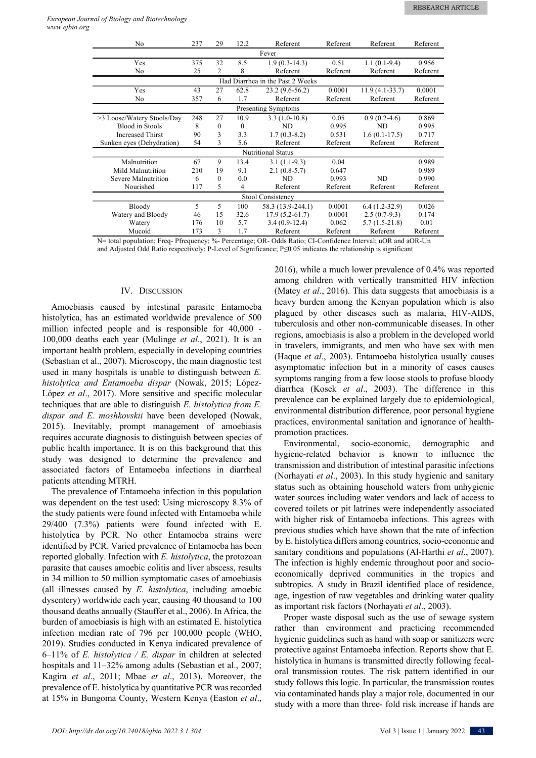| No.                        | 237 | 29       | 12.2     | Referent                         | Referent | Referent         | Referent |  |
|----------------------------|-----|----------|----------|----------------------------------|----------|------------------|----------|--|
| Fever                      |     |          |          |                                  |          |                  |          |  |
| Yes                        | 375 | 32       | 8.5      | $1.9(0.3-14.3)$                  | 0.51     | $1.1(0.1-9.4)$   | 0.956    |  |
| No                         | 25  | 2        | 8        | Referent                         | Referent | Referent         | Referent |  |
|                            |     |          |          | Had Diarrhea in the Past 2 Weeks |          |                  |          |  |
| Yes                        | 43  | 27       | 62.8     | $23.2(9.6-56.2)$                 | 0.0001   | $11.9(4.1-33.7)$ | 0.0001   |  |
| No                         | 357 | 6        | 1.7      | Referent                         | Referent | Referent         | Referent |  |
| Presenting Symptoms        |     |          |          |                                  |          |                  |          |  |
| >3 Loose/Watery Stools/Day | 248 | 27       | 10.9     | $3.3(1.0-10.8)$                  | 0.05     | $0.9(0.2-4.6)$   | 0.869    |  |
| <b>Blood</b> in Stools     | 8   | $\theta$ | $\Omega$ | ND                               | 0.995    | ND               | 0.995    |  |
| <b>Increased Thirst</b>    | 90  | 3        | 3.3      | $1.7(0.3-8.2)$                   | 0.531    | $1.6(0.1-17.5)$  | 0.717    |  |
| Sunken eyes (Dehydration)  | 54  | 3        | 5.6      | Referent                         | Referent | Referent         | Referent |  |
|                            |     |          |          | <b>Nutritional Status</b>        |          |                  |          |  |
| Malnutrition               | 67  | 9        | 13.4     | $3.1(1.1-9.3)$                   | 0.04     |                  | 0.989    |  |
| Mild Malnutrition          | 210 | 19       | 9.1      | $2.1(0.8-5.7)$                   | 0.647    |                  | 0.989    |  |
| Severe Malnutrition        | 6   | $\theta$ | 0.0      | ND                               | 0.993    | ND               | 0.990    |  |
| Nourished                  | 117 | 5        | 4        | Referent                         | Referent | Referent         | Referent |  |
| Stool Consistency          |     |          |          |                                  |          |                  |          |  |
| Bloody                     | 5   | 5        | 100      | 58.3 (13.9-244.1)                | 0.0001   | $6.4(1.2-32.9)$  | 0.026    |  |
| Watery and Bloody          | 46  | 15       | 32.6     | $17.9(5.2-61.7)$                 | 0.0001   | $2.5(0.7-9.3)$   | 0.174    |  |
| Watery                     | 176 | 10       | 5.7      | $3.4(0.9-12.4)$                  | 0.062    | $5.7(1.5-21.8)$  | 0.01     |  |
| Mucoid                     | 173 | 3        | 1.7      | Referent                         | Referent | Referent         | Referent |  |

N= total population; Freq- Pfrequency; %- Percentage; OR- Odds Ratio; CI-Confidence Interval; uOR and aOR-Un and Adjusted Odd Ratio respectively; P-Level of Significance; P≤0.05 indicates the relationship is significant

## IV. DISCUSSION

Amoebiasis caused by intestinal parasite Entamoeba histolytica, has an estimated worldwide prevalence of 500 million infected people and is responsible for 40,000 - 100,000 deaths each year (Mulinge *et al*., 2021). It is an important health problem, especially in developing countries (Sebastian et al., 2007). Microscopy, the main diagnostic test used in many hospitals is unable to distinguish between *E. histolytica and Entamoeba dispar* (Nowak, 2015; López-López *et al*., 2017). More sensitive and specific molecular techniques that are able to distinguish *E. histolytica from E. dispar and E. moshkovskii* have been developed (Nowak, 2015). Inevitably, prompt management of amoebiasis requires accurate diagnosis to distinguish between species of public health importance. It is on this background that this study was designed to determine the prevalence and associated factors of Entamoeba infections in diarrheal patients attending MTRH.

The prevalence of Entamoeba infection in this population was dependent on the test used: Using microscopy 8.3% of the study patients were found infected with Entamoeba while 29/400 (7.3%) patients were found infected with E. histolytica by PCR. No other Entamoeba strains were identified by PCR. Varied prevalence of Entamoeba has been reported globally. Infection with *E. histolytica*, the protozoan parasite that causes amoebic colitis and liver abscess, results in 34 million to 50 million symptomatic cases of amoebiasis (all illnesses caused by *E. histolytica*, including amoebic dysentery) worldwide each year, causing 40 thousand to 100 thousand deaths annually (Stauffer et al., 2006). In Africa, the burden of amoebiasis is high with an estimated E. histolytica infection median rate of 796 per 100,000 people (WHO, 2019). Studies conducted in Kenya indicated prevalence of 6–11% of *E. histolytica / E. dispar* in children at selected hospitals and  $11-32\%$  among adults (Sebastian et al., 2007; Kagira *et al*., 2011; Mbae *et al*., 2013). Moreover, the prevalence of E. histolytica by quantitative PCR was recorded at 15% in Bungoma County, Western Kenya (Easton *et al*., 2016), while a much lower prevalence of 0.4% was reported among children with vertically transmitted HIV infection (Matey *et al*., 2016). This data suggests that amoebiasis is a heavy burden among the Kenyan population which is also plagued by other diseases such as malaria, HIV-AIDS, tuberculosis and other non-communicable diseases. In other regions, amoebiasis is also a problem in the developed world in travelers, immigrants, and men who have sex with men (Haque *et al*., 2003). Entamoeba histolytica usually causes asymptomatic infection but in a minority of cases causes symptoms ranging from a few loose stools to profuse bloody diarrhea (Kosek *et al*., 2003). The difference in this prevalence can be explained largely due to epidemiological, environmental distribution difference, poor personal hygiene practices, environmental sanitation and ignorance of healthpromotion practices.

Environmental, socio-economic, demographic and hygiene-related behavior is known to influence the transmission and distribution of intestinal parasitic infections (Norhayati *et al*., 2003). In this study hygienic and sanitary status such as obtaining household waters from unhygienic water sources including water vendors and lack of access to covered toilets or pit latrines were independently associated with higher risk of Entamoeba infections. This agrees with previous studies which have shown that the rate of infection by E. histolytica differs among countries, socio-economic and sanitary conditions and populations (Al-Harthi *et al*., 2007). The infection is highly endemic throughout poor and socioeconomically deprived communities in the tropics and subtropics. A study in Brazil identified place of residence, age, ingestion of raw vegetables and drinking water quality as important risk factors (Norhayati *et al*., 2003).

Proper waste disposal such as the use of sewage system rather than environment and practicing recommended hygienic guidelines such as hand with soap or sanitizers were protective against Entamoeba infection. Reports show that E. histolytica in humans is transmitted directly following fecaloral transmission routes. The risk pattern identified in our study follows this logic. In particular, the transmission routes via contaminated hands play a major role, documented in our study with a more than three- fold risk increase if hands are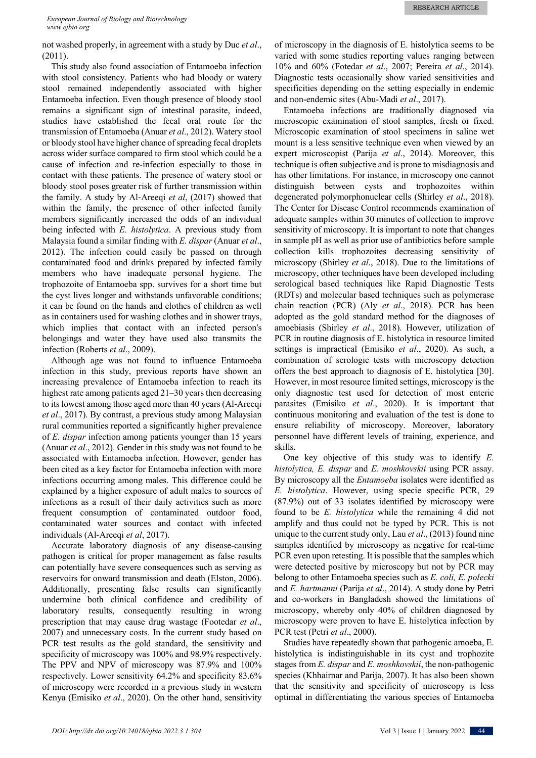not washed properly, in agreement with a study by Duc *et al*., (2011).

This study also found association of Entamoeba infection with stool consistency. Patients who had bloody or watery stool remained independently associated with higher Entamoeba infection. Even though presence of bloody stool remains a significant sign of intestinal parasite, indeed, studies have established the fecal oral route for the transmission of Entamoeba (Anuar *et al*., 2012). Watery stool or bloody stool have higher chance of spreading fecal droplets across wider surface compared to firm stool which could be a cause of infection and re-infection especially to those in contact with these patients. The presence of watery stool or bloody stool poses greater risk of further transmission within the family. A study by Al-Areeqi *et al*, (2017) showed that within the family, the presence of other infected family members significantly increased the odds of an individual being infected with *E. histolytica*. A previous study from Malaysia found a similar finding with *E. dispar* (Anuar *et al*., 2012). The infection could easily be passed on through contaminated food and drinks prepared by infected family members who have inadequate personal hygiene. The trophozoite of Entamoeba spp. survives for a short time but the cyst lives longer and withstands unfavorable conditions; it can be found on the hands and clothes of children as well as in containers used for washing clothes and in shower trays, which implies that contact with an infected person's belongings and water they have used also transmits the infection (Roberts *et al*., 2009).

Although age was not found to influence Entamoeba infection in this study, previous reports have shown an increasing prevalence of Entamoeba infection to reach its highest rate among patients aged 21–30 years then decreasing to its lowest among those aged more than 40 years (Al-Areeqi *et al*., 2017). By contrast, a previous study among Malaysian rural communities reported a significantly higher prevalence of *E. dispar* infection among patients younger than 15 years (Anuar *et al*., 2012). Gender in this study was not found to be associated with Entamoeba infection. However, gender has been cited as a key factor for Entamoeba infection with more infections occurring among males. This difference could be explained by a higher exposure of adult males to sources of infections as a result of their daily activities such as more frequent consumption of contaminated outdoor food, contaminated water sources and contact with infected individuals (Al-Areeqi *et al*, 2017).

Accurate laboratory diagnosis of any disease-causing pathogen is critical for proper management as false results can potentially have severe consequences such as serving as reservoirs for onward transmission and death (Elston, 2006). Additionally, presenting false results can significantly undermine both clinical confidence and credibility of laboratory results, consequently resulting in wrong prescription that may cause drug wastage (Footedar *et al*., 2007) and unnecessary costs. In the current study based on PCR test results as the gold standard, the sensitivity and specificity of microscopy was 100% and 98.9% respectively. The PPV and NPV of microscopy was 87.9% and 100% respectively. Lower sensitivity 64.2% and specificity 83.6% of microscopy were recorded in a previous study in western Kenya (Emisiko *et al*., 2020). On the other hand, sensitivity

of microscopy in the diagnosis of E. histolytica seems to be varied with some studies reporting values ranging between 10% and 60% (Fotedar *et al*., 2007; Pereira *et al*., 2014). Diagnostic tests occasionally show varied sensitivities and specificities depending on the setting especially in endemic and non-endemic sites (Abu-Madi *et al*., 2017).

Entamoeba infections are traditionally diagnosed via microscopic examination of stool samples, fresh or fixed. Microscopic examination of stool specimens in saline wet mount is a less sensitive technique even when viewed by an expert microscopist (Parija *et al*., 2014). Moreover, this technique is often subjective and is prone to misdiagnosis and has other limitations. For instance, in microscopy one cannot distinguish between cysts and trophozoites within degenerated polymorphonuclear cells (Shirley *et al*., 2018). The Center for Disease Control recommends examination of adequate samples within 30 minutes of collection to improve sensitivity of microscopy. It is important to note that changes in sample pH as well as prior use of antibiotics before sample collection kills trophozoites decreasing sensitivity of microscopy (Shirley *et al*., 2018). Due to the limitations of microscopy, other techniques have been developed including serological based techniques like Rapid Diagnostic Tests (RDTs) and molecular based techniques such as polymerase chain reaction (PCR) (Aly *et al*., 2018). PCR has been adopted as the gold standard method for the diagnoses of amoebiasis (Shirley *et al*., 2018). However, utilization of PCR in routine diagnosis of E. histolytica in resource limited settings is impractical (Emisiko *et al*., 2020). As such, a combination of serologic tests with microscopy detection offers the best approach to diagnosis of E. histolytica [30]. However, in most resource limited settings, microscopy is the only diagnostic test used for detection of most enteric parasites (Emisiko *et al*., 2020). It is important that continuous monitoring and evaluation of the test is done to ensure reliability of microscopy. Moreover, laboratory personnel have different levels of training, experience, and skills.

One key objective of this study was to identify *E. histolytica, E. dispar* and *E. moshkovskii* using PCR assay. By microscopy all the *Entamoeba* isolates were identified as *E. histolytica*. However, using specie specific PCR, 29 (87.9%) out of 33 isolates identified by microscopy were found to be *E. histolytica* while the remaining 4 did not amplify and thus could not be typed by PCR. This is not unique to the current study only, Lau *et al*., (2013) found nine samples identified by microscopy as negative for real-time PCR even upon retesting. It is possible that the samples which were detected positive by microscopy but not by PCR may belong to other Entamoeba species such as *E. coli, E. polecki* and *E. hartmanni* (Parija *et al*., 2014). A study done by Petri and co-workers in Bangladesh showed the limitations of microscopy, whereby only 40% of children diagnosed by microscopy were proven to have E. histolytica infection by PCR test (Petri *et al*., 2000).

Studies have repeatedly shown that pathogenic amoeba, E. histolytica is indistinguishable in its cyst and trophozite stages from *E. dispar* and *E. moshkovskii*, the non-pathogenic species (Khhairnar and Parija, 2007). It has also been shown that the sensitivity and specificity of microscopy is less optimal in differentiating the various species of Entamoeba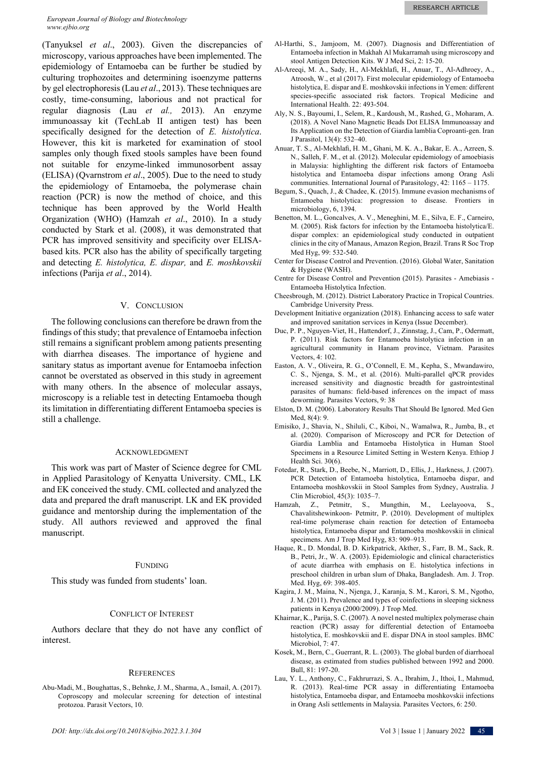#### *European Journal of Biology and Biotechnology www.ejbio.org*

(Tanyuksel *et al*., 2003). Given the discrepancies of microscopy, various approaches have been implemented. The epidemiology of Entamoeba can be further be studied by culturing trophozoites and determining isoenzyme patterns by gel electrophoresis (Lau *et al*., 2013). These techniques are costly, time-consuming, laborious and not practical for regular diagnosis (Lau *et al.,* 2013). An enzyme immunoassay kit (TechLab II antigen test) has been specifically designed for the detection of *E. histolytica*. However, this kit is marketed for examination of stool samples only though fixed stools samples have been found not suitable for enzyme-linked immunosorbent assay (ELISA) (Qvarnstrom *et al*., 2005). Due to the need to study the epidemiology of Entamoeba, the polymerase chain reaction (PCR) is now the method of choice, and this technique has been approved by the World Health Organization (WHO) (Hamzah *et al*., 2010). In a study conducted by Stark et al. (2008), it was demonstrated that PCR has improved sensitivity and specificity over ELISAbased kits. PCR also has the ability of specifically targeting and detecting *E. histolytica, E. dispar,* and *E. moshkovskii* infections (Parija *et al*., 2014).

## V. CONCLUSION

The following conclusions can therefore be drawn from the findings of this study; that prevalence of Entamoeba infection still remains a significant problem among patients presenting with diarrhea diseases. The importance of hygiene and sanitary status as important avenue for Entamoeba infection cannot be overstated as observed in this study in agreement with many others. In the absence of molecular assays, microscopy is a reliable test in detecting Entamoeba though its limitation in differentiating different Entamoeba species is still a challenge.

#### ACKNOWLEDGMENT

This work was part of Master of Science degree for CML in Applied Parasitology of Kenyatta University. CML, LK and EK conceived the study. CML collected and analyzed the data and prepared the draft manuscript. LK and EK provided guidance and mentorship during the implementation of the study. All authors reviewed and approved the final manuscript.

#### FUNDING

This study was funded from students' loan.

#### CONFLICT OF INTEREST

Authors declare that they do not have any conflict of interest.

#### **REFERENCES**

Abu-Madi, M., Boughattas, S., Behnke, J. M., Sharma, A., Ismail, A. (2017). Coproscopy and molecular screening for detection of intestinal protozoa. Parasit Vectors, 10.

- Al-Harthi, S., Jamjoom, M. (2007). Diagnosis and Differentiation of Entamoeba infection in Makhah Al Mukarramah using microscopy and stool Antigen Detection Kits. W J Med Sci, 2: 15-20.
- Al‐Areeqi, M. A., Sady, H., Al‐Mekhlafi, H., Anuar, T., Al‐Adhroey, A., Atroosh, W., et al (2017). First molecular epidemiology of Entamoeba histolytica, E. dispar and E. moshkovskii infections in Yemen: different species‐specific associated risk factors. Tropical Medicine and International Health. 22: 493-504.
- Aly, N. S., Bayoumi, I., Selem, R., Kardoush, M., Rashed, G., Moharam, A. (2018). A Novel Nano Magnetic Beads Dot ELISA Immunoassay and Its Application on the Detection of Giardia lamblia Coproanti-gen. Iran J Parasitol, 13(4): 532–40.
- Anuar, T. S., Al-Mekhlafi, H. M., Ghani, M. K. A., Bakar, E. A., Azreen, S. N., Salleh, F. M., et al. (2012). Molecular epidemiology of amoebiasis in Malaysia: highlighting the different risk factors of Entamoeba histolytica and Entamoeba dispar infections among Orang Asli communities. International Journal of Parasitology, 42: 1165 – 1175.
- Begum, S., Quach, J., & Chadee, K. (2015). Immune evasion mechanisms of Entamoeba histolytica: progression to disease. Frontiers in microbiology, 6, 1394.
- Benetton, M. L., Goncalves, A. V., Meneghini, M. E., Silva, E. F., Carneiro, M. (2005). Risk factors for infection by the Entamoeba histolytica/E. dispar complex: an epidemiological study conducted in outpatient clinics in the city of Manaus, Amazon Region, Brazil. Trans R Soc Trop Med Hyg, 99: 532-540.
- Center for Disease Control and Prevention. (2016). Global Water, Sanitation & Hygiene (WASH).
- Centre for Disease Control and Prevention (2015). Parasites Amebiasis Entamoeba Histolytica Infection.
- Cheesbrough, M. (2012). District Laboratory Practice in Tropical Countries. Cambridge University Press.
- Development Initiative organization (2018). Enhancing access to safe water and improved sanitation services in Kenya (Issue December).
- Duc, P. P., Nguyen-Viet, H., Hattendorf, J., Zinnstag, J., Cam, P., Odermatt, P. (2011). Risk factors for Entamoeba histolytica infection in an agricultural community in Hanam province, Vietnam. Parasites Vectors, 4: 102.
- Easton, A. V., Oliveira, R. G., O'Connell, E. M., Kepha, S., Mwandawiro, C. S., Njenga, S. M., et al. (2016). Multi-parallel qPCR provides increased sensitivity and diagnostic breadth for gastrointestinal parasites of humans: field-based inferences on the impact of mass deworming. Parasites Vectors, 9: 38
- Elston, D. M. (2006). Laboratory Results That Should Be Ignored. Med Gen Med, 8(4): 9.
- Emisiko, J., Shavia, N., Shiluli, C., Kiboi, N., Wamalwa, R., Jumba, B., et al. (2020). Comparison of Microscopy and PCR for Detection of Giardia Lamblia and Entamoeba Histolytica in Human Stool Specimens in a Resource Limited Setting in Western Kenya. Ethiop J Health Sci. 30(6).
- Fotedar, R., Stark, D., Beebe, N., Marriott, D., Ellis, J., Harkness, J. (2007). PCR Detection of Entamoeba histolytica, Entamoeba dispar, and Entamoeba moshkovskii in Stool Samples from Sydney, Australia. J Clin Microbiol, 45(3): 1035–7.
- Hamzah, Z., Petmitr, S., Mungthin, M., Leelayoova, Chavalitshewinkoon- Petmitr, P. (2010). Development of multiplex real-time polymerase chain reaction for detection of Entamoeba histolytica, Entamoeba dispar and Entamoeba moshkovskii in clinical specimens. Am J Trop Med Hyg, 83: 909–913.
- Haque, R., D. Mondal, B. D. Kirkpatrick, Akther, S., Farr, B. M., Sack, R. B., Petri, Jr., W. A. (2003). Epidemiologic and clinical characteristics of acute diarrhea with emphasis on E. histolytica infections in preschool children in urban slum of Dhaka, Bangladesh. Am. J. Trop. Med. Hyg, 69: 398-405.
- Kagira, J. M., Maina, N., Njenga, J., Karanja, S. M., Karori, S. M., Ngotho, J. M. (2011). Prevalence and types of coinfections in sleeping sickness patients in Kenya (2000/2009). J Trop Med.
- Khairnar, K., Parija, S. C. (2007). A novel nested multiplex polymerase chain reaction (PCR) assay for differential detection of Entamoeba histolytica, E. moshkovskii and E. dispar DNA in stool samples. BMC Microbiol, 7: 47.
- Kosek, M., Bern, C., Guerrant, R. L. (2003). The global burden of diarrhoeal disease, as estimated from studies published between 1992 and 2000. Bull, 81: 197-20.
- Lau, Y. L., Anthony, C., Fakhrurrazi, S. A., Ibrahim, J., Ithoi, I., Mahmud, R. (2013). Real-time PCR assay in differentiating Entamoeba histolytica, Entamoeba dispar, and Entamoeba moshkovskii infections in Orang Asli settlements in Malaysia. Parasites Vectors, 6: 250.